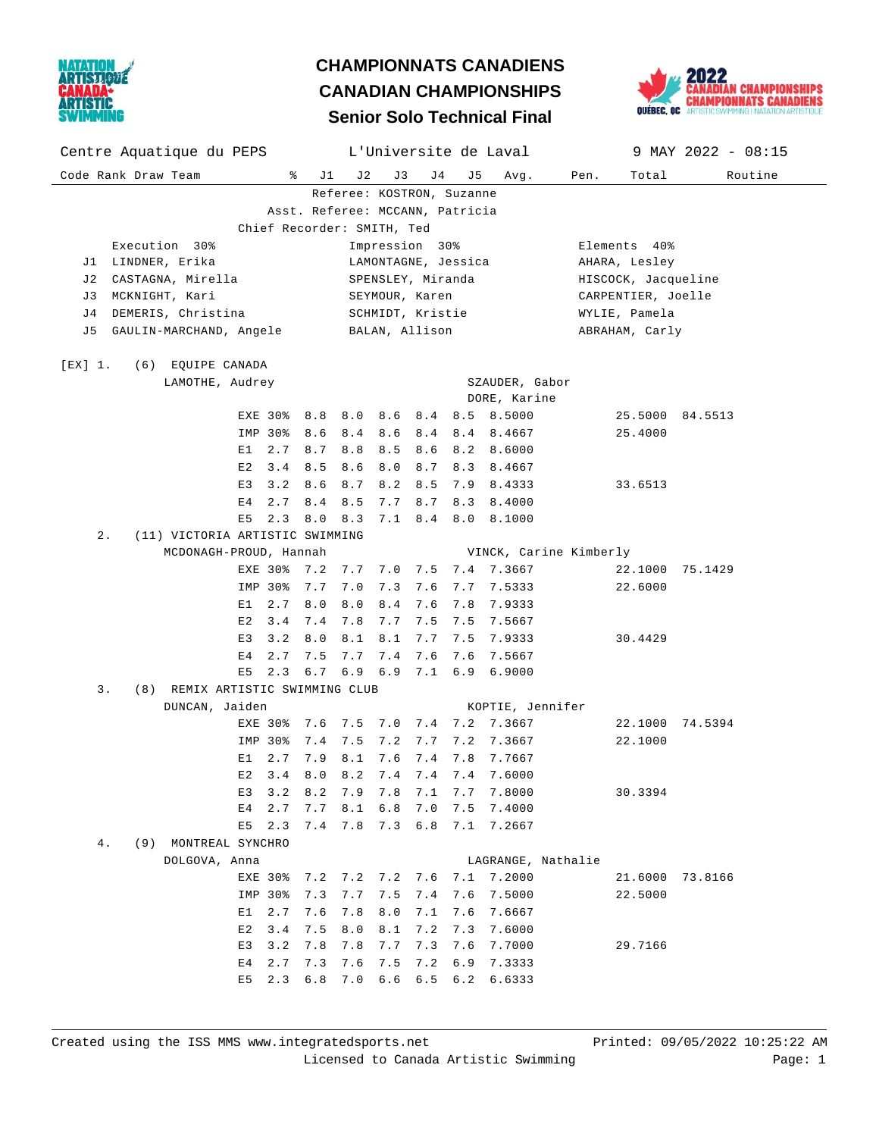

## **Senior Solo Technical Final CHAMPIONNATS CANADIENS CANADIAN CHAMPIONSHIPS**



| Centre Aquatique du PEPS L'Universite de Laval                 |                |         |                                    |           |                        |                     | 9 MAY 2022 - 08:15 |  |  |  |
|----------------------------------------------------------------|----------------|---------|------------------------------------|-----------|------------------------|---------------------|--------------------|--|--|--|
| Code Rank Draw Team                                            | ႜ<br>J 1       | J2      | J3                                 | J 4<br>J5 | Avg.                   | Pen.<br>Total       | Routine            |  |  |  |
|                                                                |                |         | Referee: KOSTRON, Suzanne          |           |                        |                     |                    |  |  |  |
| Asst. Referee: MCCANN, Patricia                                |                |         |                                    |           |                        |                     |                    |  |  |  |
| Chief Recorder: SMITH, Ted                                     |                |         |                                    |           |                        |                     |                    |  |  |  |
| Execution 30%                                                  |                |         | Impression 30%                     |           |                        | Elements 40%        |                    |  |  |  |
| LINDNER, Erika<br>LAMONTAGNE, Jessica<br>AHARA, Lesley<br>J1 - |                |         |                                    |           |                        |                     |                    |  |  |  |
| CASTAGNA, Mirella<br>J 2                                       |                |         | SPENSLEY, Miranda                  |           |                        | HISCOCK, Jacqueline |                    |  |  |  |
| MCKNIGHT, Kari<br>SEYMOUR, Karen<br>J 3<br>CARPENTIER, Joelle  |                |         |                                    |           |                        |                     |                    |  |  |  |
| DEMERIS, Christina<br>J 4                                      |                |         | SCHMIDT, Kristie                   |           |                        | WYLIE, Pamela       |                    |  |  |  |
| GAULIN-MARCHAND, Angele BALAN, Allison<br>J 5                  |                |         |                                    |           |                        | ABRAHAM, Carly      |                    |  |  |  |
|                                                                |                |         |                                    |           |                        |                     |                    |  |  |  |
| [EX] 1.<br>(6) EQUIPE CANADA<br>LAMOTHE, Audrey                |                |         |                                    |           | SZAUDER, Gabor         |                     |                    |  |  |  |
|                                                                |                |         |                                    |           | DORE, Karine           |                     |                    |  |  |  |
| EXE 30%                                                        | 8.8            | 8.0     | 8.6                                |           | 8.4 8.5 8.5000         |                     | 25.5000 84.5513    |  |  |  |
| IMP 30%                                                        | 8.6            | 8.4     | 8.4<br>8.6                         |           | 8.4 8.4667             | 25.4000             |                    |  |  |  |
| E1                                                             | 2.7<br>8.7     | 8.8     | 8.6<br>8.5                         |           | 8.2 8.6000             |                     |                    |  |  |  |
| E2                                                             | 3.4<br>8.5     | 8.6     | 8.7<br>8.0                         |           | 8.3 8.4667             |                     |                    |  |  |  |
| E3                                                             | 3.2<br>8.6     | 8.7     | 8.5<br>8.2                         |           | 7.9 8.4333             | 33.6513             |                    |  |  |  |
| Е4                                                             | 8.4<br>2.7     | 8.5     | 7.7<br>8.7                         |           | 8.3 8.4000             |                     |                    |  |  |  |
| E5                                                             | 8.0<br>2.3     | 8.3     | 8.4<br>7.1                         |           | 8.0 8.1000             |                     |                    |  |  |  |
| $2$ .<br>(11) VICTORIA ARTISTIC SWIMMING                       |                |         |                                    |           |                        |                     |                    |  |  |  |
| MCDONAGH-PROUD, Hannah                                         |                |         |                                    |           | VINCK, Carine Kimberly |                     |                    |  |  |  |
| EXE 30%                                                        | 7.2            | 7.7     | 7.0                                |           | 7.5 7.4 7.3667         |                     | 22.1000 75.1429    |  |  |  |
| IMP 30%                                                        | 7.7            | 7.0     | 7.3<br>7.6                         |           | 7.7 7.5333             | 22.6000             |                    |  |  |  |
| E1                                                             | 2.7<br>8.0     | 8.0     | 8.4<br>7.6                         |           | 7.8 7.9333             |                     |                    |  |  |  |
| E2                                                             | 3.4<br>7.4     | 7.8     | 7.7<br>7.5                         |           | 7.5 7.5667             |                     |                    |  |  |  |
| E3                                                             | 3.2<br>8.0     | 8.1     | 8.1<br>7.7                         |           | 7.5 7.9333             | 30.4429             |                    |  |  |  |
| Е4                                                             | 2.7<br>7.5     | 7.7     | 7.4<br>7.6                         | 7.6       | 7.5667                 |                     |                    |  |  |  |
| E5                                                             | 2.3<br>6.7     | 6.9 6.9 | 7.1                                |           | 6.9 6.9000             |                     |                    |  |  |  |
| 3.<br>(8) REMIX ARTISTIC SWIMMING CLUB                         |                |         |                                    |           |                        |                     |                    |  |  |  |
| DUNCAN, Jaiden                                                 |                |         |                                    |           | KOPTIE, Jennifer       |                     |                    |  |  |  |
|                                                                | EXE 30% 7.6    | 7.5 7.0 |                                    |           | 7.4 7.2 7.3667         |                     | 22.1000 74.5394    |  |  |  |
| IMP 30%                                                        | 7.4            | 7.5     | 7.2<br>7.7                         |           | 7.2 7.3667             | 22.1000             |                    |  |  |  |
| E1                                                             | 2.7<br>7.9     | 8.1     | 7.6<br>7.4                         |           | 7.8 7.7667             |                     |                    |  |  |  |
| E2                                                             | 3.4<br>8.0     | 8.2     | 7.4<br>7.4                         | 7.4       | 7.6000                 |                     |                    |  |  |  |
|                                                                |                |         | E3 3.2 8.2 7.9 7.8 7.1 7.7 7.8000  |           |                        | 30.3394             |                    |  |  |  |
|                                                                | E4 2.7 7.7 8.1 |         | 6.8                                |           | 7.0 7.5 7.4000         |                     |                    |  |  |  |
|                                                                |                |         | E5 2.3 7.4 7.8 7.3 6.8 7.1 7.2667  |           |                        |                     |                    |  |  |  |
| 4.<br>(9) MONTREAL SYNCHRO                                     |                |         |                                    |           |                        |                     |                    |  |  |  |
| DOLGOVA, Anna                                                  |                |         |                                    |           | LAGRANGE, Nathalie     |                     |                    |  |  |  |
|                                                                |                |         | EXE 30% 7.2 7.2 7.2 7.6 7.1 7.2000 |           |                        |                     | 21.6000 73.8166    |  |  |  |
|                                                                | IMP 30% 7.3    | 7.7     | 7.5                                |           | 7.4 7.6 7.5000         | 22.5000             |                    |  |  |  |
| E1                                                             | 2.7<br>7.6     | 7.8     | 8.0                                |           | 7.1 7.6 7.6667         |                     |                    |  |  |  |
| E2                                                             | $3.4$ 7.5      | 8.0     | 7.2<br>8.1                         |           | 7.3 7.6000             |                     |                    |  |  |  |
| E 3                                                            | 3.2<br>7.8     | 7.8     | 7.7                                |           | 7.3 7.6 7.7000         | 29.7166             |                    |  |  |  |
| E4                                                             | 2.7<br>7.3     | 7.6     | 7.5                                |           | 7.2 6.9 7.3333         |                     |                    |  |  |  |
| E5                                                             | $2.3 \t6.8$    |         | 7.0 6.6 6.5 6.2 6.6333             |           |                        |                     |                    |  |  |  |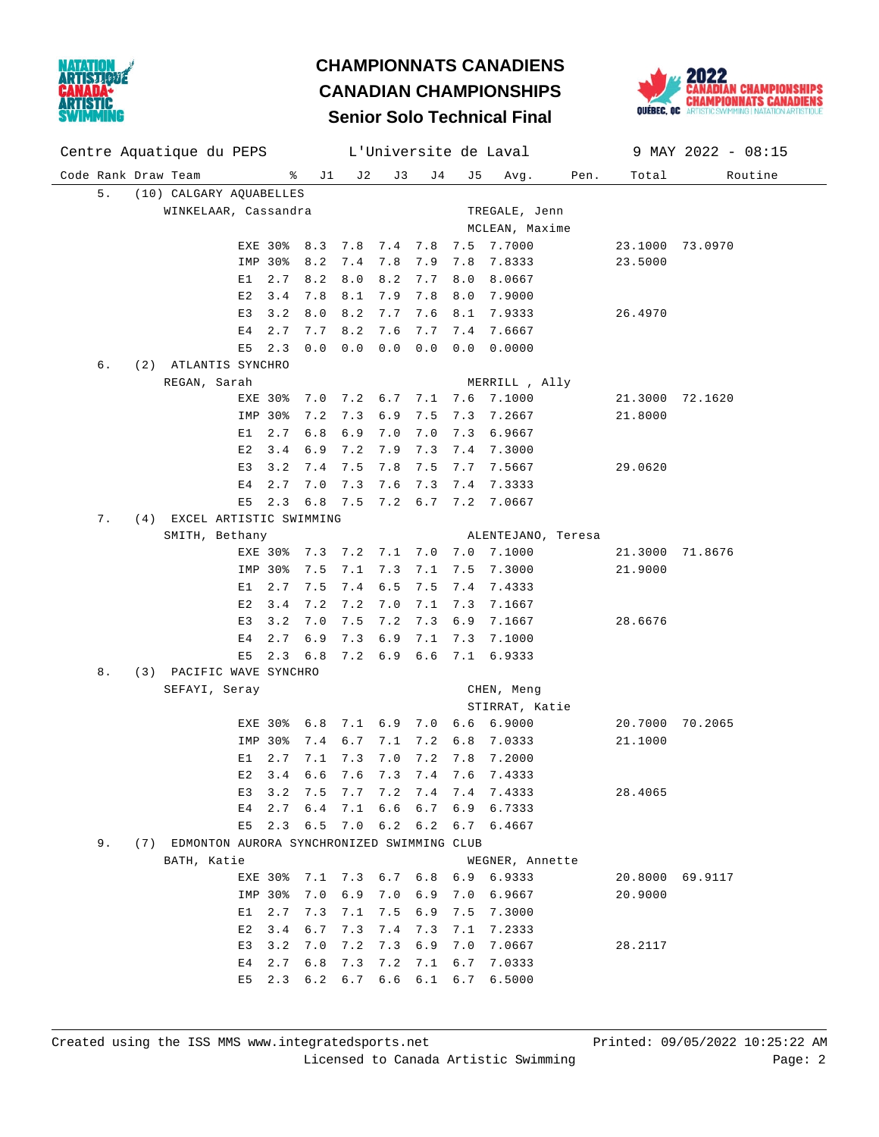

## **Senior Solo Technical Final CHAMPIONNATS CANADIENS CANADIAN CHAMPIONSHIPS**



| Centre Aquatique du PEPS L'Universite de Laval |                                                |                                                       | 9 MAY 2022 - 08:15         |  |  |  |  |  |  |
|------------------------------------------------|------------------------------------------------|-------------------------------------------------------|----------------------------|--|--|--|--|--|--|
| Code Rank Draw Team<br>៖<br>J 1                | J 2<br>J 3                                     | J 4<br>J5<br>Avg.<br>Pen.                             | Total<br>Routine           |  |  |  |  |  |  |
| 5.<br>(10) CALGARY AQUABELLES                  |                                                |                                                       |                            |  |  |  |  |  |  |
| WINKELAAR, Cassandra<br>TREGALE, Jenn          |                                                |                                                       |                            |  |  |  |  |  |  |
|                                                |                                                | MCLEAN, Maxime                                        |                            |  |  |  |  |  |  |
| EXE 30%<br>8.3                                 | 7.8<br>7.4<br>7.8                              | 7.7000<br>7.5                                         | 23.1000 73.0970            |  |  |  |  |  |  |
| 8.2<br>IMP 30%                                 | 7.8<br>7.9<br>7.4                              | 7.8<br>7.8333                                         | 23.5000                    |  |  |  |  |  |  |
| 2.7<br>8.2<br>E1                               | 8.0<br>8.2<br>7.7                              | 8.0<br>8.0667                                         |                            |  |  |  |  |  |  |
| 7.8<br>E 2<br>3.4                              | 8.1<br>7.9<br>7.8                              | 8.0<br>7.9000                                         |                            |  |  |  |  |  |  |
| E3<br>3.2<br>8.0                               | 8.2<br>7.7<br>7.6                              | 8.1<br>7.9333                                         | 26.4970                    |  |  |  |  |  |  |
| 2.7<br>7.7<br>Ε4                               | 8.2<br>7.6<br>7.7                              | 7.6667<br>7.4                                         |                            |  |  |  |  |  |  |
| 0.0<br>E5<br>2.3                               | 0.0<br>0.0<br>0.0                              | 0.0<br>0.0000                                         |                            |  |  |  |  |  |  |
| (2) ATLANTIS SYNCHRO<br>б.                     |                                                |                                                       |                            |  |  |  |  |  |  |
| REGAN, Sarah                                   |                                                | MERRILL , Ally                                        |                            |  |  |  |  |  |  |
| EXE 30%<br>7.0                                 | 7.2<br>6.7<br>7.1                              | 7.6<br>7.1000                                         | 21.3000 72.1620            |  |  |  |  |  |  |
| IMP 30%<br>7.2                                 | 7.3<br>6.9<br>7.5                              | 7.2667<br>7.3                                         | 21.8000                    |  |  |  |  |  |  |
| 6.8<br>E1<br>2.7                               | 6.9<br>7.0<br>7.0                              | 7.3<br>6.9667                                         |                            |  |  |  |  |  |  |
| E2<br>3.4<br>6.9                               | 7.2<br>7.9<br>7.3                              | 7.4<br>7.3000                                         |                            |  |  |  |  |  |  |
| E3<br>3.2<br>7.4                               | 7.5<br>7.8<br>7.5                              | 7.7<br>7.5667                                         | 29.0620                    |  |  |  |  |  |  |
| 2.7<br>7.0<br>Ε4                               | 7.3<br>7.6<br>7.3                              | 7.4<br>7.3333                                         |                            |  |  |  |  |  |  |
| 6.8<br>E5<br>2.3                               | 7.5<br>7.2<br>6.7                              | 7.2<br>7.0667                                         |                            |  |  |  |  |  |  |
| (4) EXCEL ARTISTIC SWIMMING<br>7.              |                                                |                                                       |                            |  |  |  |  |  |  |
| SMITH, Bethany                                 |                                                | ALENTEJANO, Teresa                                    |                            |  |  |  |  |  |  |
| EXE 30%<br>7.3                                 | 7.1<br>7.0<br>7.2                              | 7.0<br>7.1000                                         | 21.3000 71.8676            |  |  |  |  |  |  |
| 7.5<br>IMP 30%                                 | 7.1<br>7.3<br>7.1                              | 7.5<br>7.3000                                         | 21.9000                    |  |  |  |  |  |  |
| E1<br>2.7<br>7.5                               | 7.4<br>6.5<br>7.5                              | 7.4<br>7.4333                                         |                            |  |  |  |  |  |  |
| E2<br>3.4<br>7.2                               | 7.2<br>7.0<br>7.1                              | 7.3<br>7.1667                                         |                            |  |  |  |  |  |  |
| E3<br>3.2<br>7.0                               | 7.5<br>7.2<br>7.3                              | 6.9<br>7.1667                                         | 28.6676                    |  |  |  |  |  |  |
| 2.7<br>6.9<br>Ε4                               | 7.3<br>6.9<br>7.1                              | 7.3<br>7.1000                                         |                            |  |  |  |  |  |  |
| E5<br>2.3<br>6.8                               | 6.9<br>7.2<br>6.6                              | 7.1<br>6.9333                                         |                            |  |  |  |  |  |  |
| 8.<br>(3) PACIFIC WAVE SYNCHRO                 |                                                |                                                       |                            |  |  |  |  |  |  |
|                                                | SEFAYI, Seray<br>CHEN, Meng                    |                                                       |                            |  |  |  |  |  |  |
|                                                |                                                | STIRRAT, Katie                                        |                            |  |  |  |  |  |  |
| EXE 30%<br>6.8                                 | 7.1<br>6.9<br>7.0                              | 6.6<br>6.9000                                         | 20.7000 70.2065            |  |  |  |  |  |  |
| 7.4<br>IMP 30%                                 | 6.7<br>7.1<br>7.2                              | 6.8<br>7.0333                                         | 21.1000                    |  |  |  |  |  |  |
| 2.7<br>Е1<br>7.1                               | 7.3<br>7.0<br>7.2                              | 7.8<br>7.2000                                         |                            |  |  |  |  |  |  |
| 6.6<br>E 2<br>3.4                              | 7.6<br>7.3<br>7.4                              | 7.6<br>7.4333                                         |                            |  |  |  |  |  |  |
|                                                | E3 3.2 7.5 7.7 7.2 7.4 7.4 7.4333              |                                                       | 28.4065                    |  |  |  |  |  |  |
| E4 2.7 6.4                                     | 7.1                                            | 6.6 6.7 6.9 6.7333                                    |                            |  |  |  |  |  |  |
| E5                                             |                                                | 2.3 6.5 7.0 6.2 6.2 6.7 6.4667                        |                            |  |  |  |  |  |  |
| 9.                                             | (7) EDMONTON AURORA SYNCHRONIZED SWIMMING CLUB |                                                       |                            |  |  |  |  |  |  |
| BATH, Katie                                    |                                                | WEGNER, Annette<br>EXE 30% 7.1 7.3 6.7 6.8 6.9 6.9333 |                            |  |  |  |  |  |  |
|                                                |                                                |                                                       | 20.8000 69.9117<br>20.9000 |  |  |  |  |  |  |
| IMP 30%<br>7.0<br>2.7<br>7.3<br>E 1            | 7.1                                            | 6.9 7.0 6.9 7.0 6.9667<br>7.5 6.9 7.5 7.3000          |                            |  |  |  |  |  |  |
| $3.4 \quad 6.7$<br>E2                          | 7.3                                            | 7.4 7.3 7.1 7.2333                                    |                            |  |  |  |  |  |  |
| E3<br>3.2<br>7.0                               | 7.2                                            | 7.3 6.9 7.0 7.0667                                    | 28.2117                    |  |  |  |  |  |  |
| 2.7<br>6.8<br>Е4                               | 7.3<br>7.2                                     | 7.1 6.7 7.0333                                        |                            |  |  |  |  |  |  |
| $E5$ 2.3 6.2 6.7                               |                                                | 6.6 6.1 6.7 6.5000                                    |                            |  |  |  |  |  |  |
|                                                |                                                |                                                       |                            |  |  |  |  |  |  |